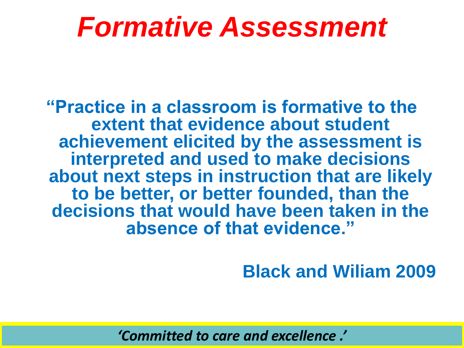### *Formative Assessment*

**"Practice in a classroom is formative to the extent that evidence about student achievement elicited by the assessment is interpreted and used to make decisions about next steps in instruction that are likely to be better, or better founded, than the decisions that would have been taken in the absence of that evidence."**

#### **Black and Wiliam 2009**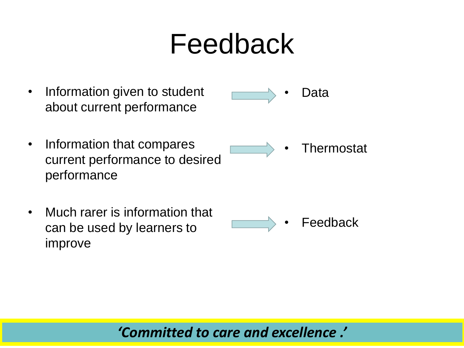### Feedback

- Information given to student about current performance • Information that compares current performance to desired performance • Much rarer is information that • Data • Thermostat
- can be used by learners to improve **Feedback**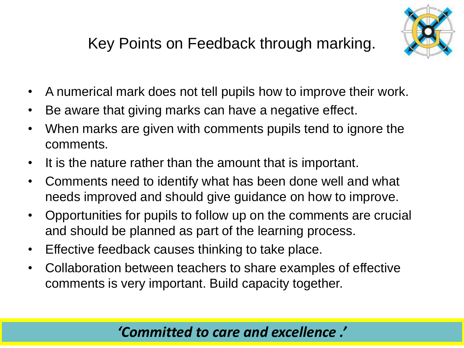#### Key Points on Feedback through marking.



- A numerical mark does not tell pupils how to improve their work.
- Be aware that giving marks can have a negative effect.
- When marks are given with comments pupils tend to ignore the comments.
- It is the nature rather than the amount that is important.
- Comments need to identify what has been done well and what needs improved and should give guidance on how to improve.
- Opportunities for pupils to follow up on the comments are crucial and should be planned as part of the learning process.
- Effective feedback causes thinking to take place.
- Collaboration between teachers to share examples of effective comments is very important. Build capacity together.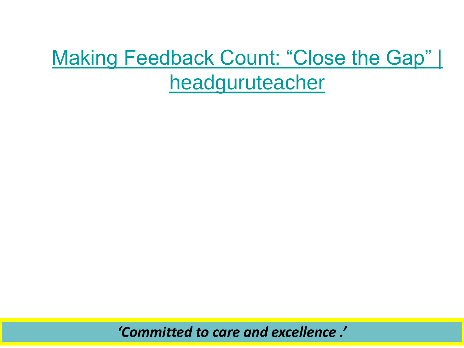### [Making Feedback Count: "Close the Gap" |](http://headguruteacher.com/2012/11/10/mak-feedback-count-close-the-gap/)  headguruteacher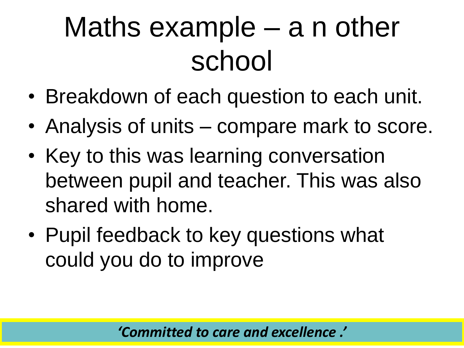# Maths example – a n other school

- Breakdown of each question to each unit.
- Analysis of units compare mark to score.
- Key to this was learning conversation between pupil and teacher. This was also shared with home.
- Pupil feedback to key questions what could you do to improve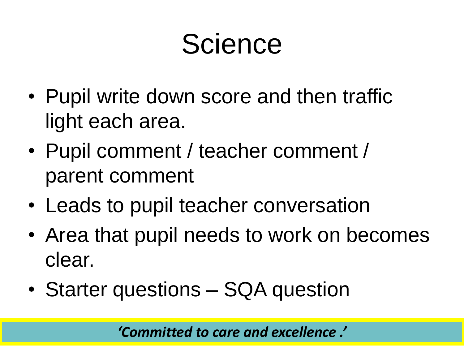## **Science**

- Pupil write down score and then traffic light each area.
- Pupil comment / teacher comment / parent comment
- Leads to pupil teacher conversation
- Area that pupil needs to work on becomes clear.
- Starter questions SQA question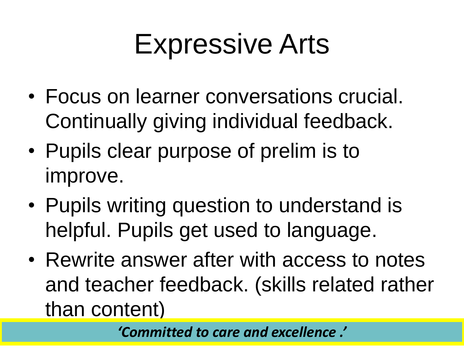## Expressive Arts

- Focus on learner conversations crucial. Continually giving individual feedback.
- Pupils clear purpose of prelim is to improve.
- Pupils writing question to understand is helpful. Pupils get used to language.
- Rewrite answer after with access to notes and teacher feedback. (skills related rather than content)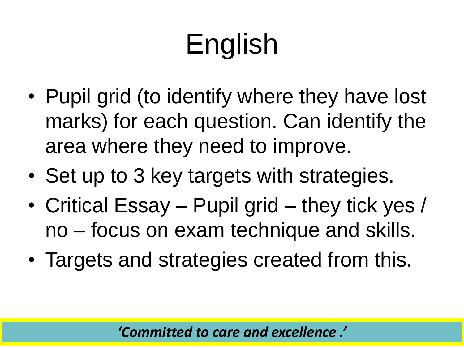# English

- Pupil grid (to identify where they have lost marks) for each question. Can identify the area where they need to improve.
- Set up to 3 key targets with strategies.
- Critical Essay Pupil grid they tick yes / no – focus on exam technique and skills.
- Targets and strategies created from this.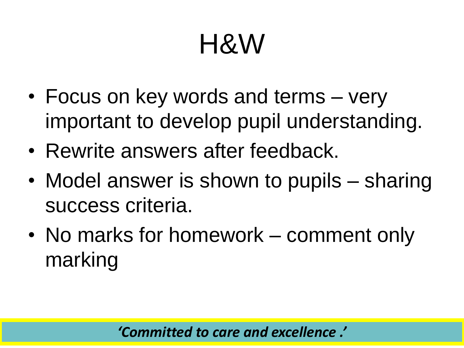# H&W

- Focus on key words and terms very important to develop pupil understanding.
- Rewrite answers after feedback.
- Model answer is shown to pupils sharing success criteria.
- No marks for homework comment only marking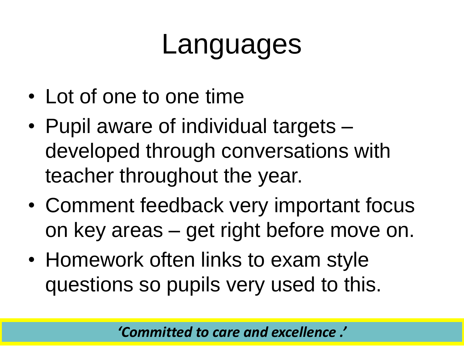### Languages

- Lot of one to one time
- Pupil aware of individual targets developed through conversations with teacher throughout the year.
- Comment feedback very important focus on key areas – get right before move on.
- Homework often links to exam style questions so pupils very used to this.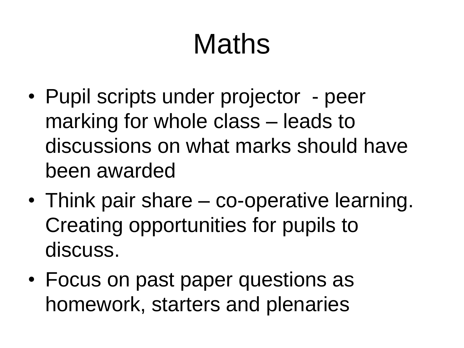# Maths

- Pupil scripts under projector peer marking for whole class – leads to discussions on what marks should have been awarded
- Think pair share co-operative learning. Creating opportunities for pupils to discuss.
- Focus on past paper questions as homework, starters and plenaries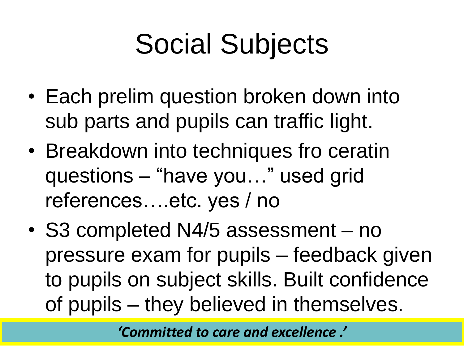# Social Subjects

- Each prelim question broken down into sub parts and pupils can traffic light.
- Breakdown into techniques fro ceratin questions – "have you…" used grid references….etc. yes / no
- S3 completed N4/5 assessment no pressure exam for pupils – feedback given to pupils on subject skills. Built confidence of pupils – they believed in themselves.